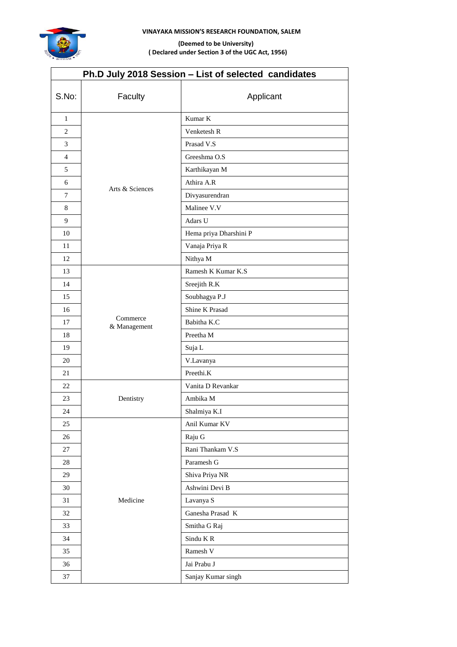

## **VINAYAKA MISSION'S RESEARCH FOUNDATION, SALEM**

# **(Deemed to be University) ( Declared under Section 3 of the UGC Act, 1956)**

| Ph.D July 2018 Session - List of selected candidates |                          |                        |  |  |
|------------------------------------------------------|--------------------------|------------------------|--|--|
| S.No:                                                | Faculty                  | Applicant              |  |  |
| $\mathbf{1}$                                         |                          | Kumar K                |  |  |
| 2                                                    |                          | Venketesh R            |  |  |
| 3                                                    |                          | Prasad V.S             |  |  |
| $\overline{4}$                                       | Arts & Sciences          | Greeshma O.S           |  |  |
| 5                                                    |                          | Karthikayan M          |  |  |
| 6                                                    |                          | Athira A.R             |  |  |
| 7                                                    |                          | Divyasurendran         |  |  |
| 8                                                    |                          | Malinee V.V            |  |  |
| 9                                                    |                          | Adars U                |  |  |
| 10                                                   |                          | Hema priya Dharshini P |  |  |
| 11                                                   |                          | Vanaja Priya R         |  |  |
| 12                                                   |                          | Nithya M               |  |  |
| 13                                                   |                          | Ramesh K Kumar K.S     |  |  |
| 14                                                   |                          | Sreejith R.K           |  |  |
| 15                                                   |                          | Soubhagya P.J          |  |  |
| 16                                                   |                          | Shine K Prasad         |  |  |
| 17                                                   | Commerce<br>& Management | Babitha K.C            |  |  |
| 18                                                   |                          | Preetha M              |  |  |
| 19                                                   |                          | Suja L                 |  |  |
| 20                                                   |                          | V.Lavanya              |  |  |
| 21                                                   |                          | Preethi.K              |  |  |
| 22                                                   |                          | Vanita D Revankar      |  |  |
| 23                                                   | Dentistry                | Ambika M               |  |  |
| 24                                                   |                          | Shalmiya K.I           |  |  |
| 25                                                   |                          | Anil Kumar KV          |  |  |
| 26                                                   |                          | Raju G                 |  |  |
| 27                                                   |                          | Rani Thankam V.S       |  |  |
| 28                                                   |                          | Paramesh G             |  |  |
| 29                                                   |                          | Shiva Priya NR         |  |  |
| 30                                                   |                          | Ashwini Devi B         |  |  |
| 31                                                   | Medicine                 | Lavanya S              |  |  |
| 32                                                   |                          | Ganesha Prasad K       |  |  |
| 33                                                   |                          | Smitha G Raj           |  |  |
| 34                                                   |                          | Sindu KR               |  |  |
| 35                                                   |                          | Ramesh V               |  |  |
| $36\,$                                               |                          | Jai Prabu J            |  |  |
| 37                                                   |                          | Sanjay Kumar singh     |  |  |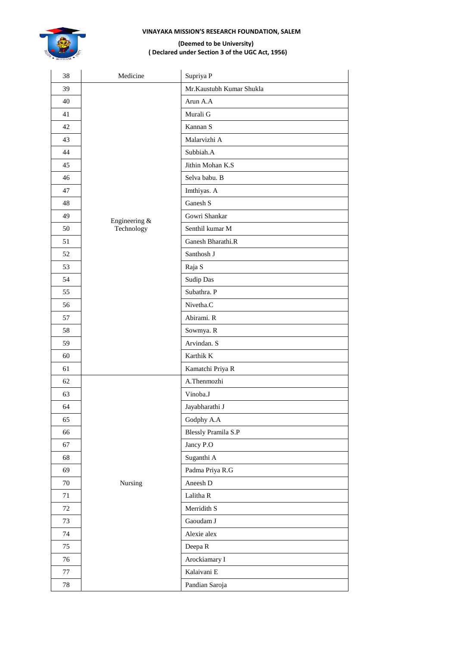## **VINAYAKA MISSION'S RESEARCH FOUNDATION, SALEM**



#### **(Deemed to be University) ( Declared under Section 3 of the UGC Act, 1956)**

| 38     | Medicine                    | Supriya P                |
|--------|-----------------------------|--------------------------|
| 39     |                             | Mr.Kaustubh Kumar Shukla |
| 40     |                             | Arun A.A                 |
| 41     |                             | Murali G                 |
| 42     |                             | Kannan S                 |
| 43     |                             | Malarvizhi A             |
| 44     |                             | Subbiah.A                |
| 45     |                             | Jithin Mohan K.S         |
| 46     |                             | Selva babu. B            |
| 47     |                             | Imthiyas. A              |
| 48     |                             | Ganesh S                 |
| 49     |                             | Gowri Shankar            |
| 50     | Engineering &<br>Technology | Senthil kumar M          |
| 51     |                             | Ganesh Bharathi.R        |
| 52     |                             | Santhosh J               |
| 53     |                             | Raja S                   |
| 54     |                             | <b>Sudip Das</b>         |
| 55     |                             | Subathra. P              |
| 56     |                             | Nivetha.C                |
| 57     |                             | Abirami. R               |
| 58     |                             | Sowmya. R                |
| 59     |                             | Arvindan. S              |
| 60     |                             | Karthik K                |
| 61     |                             | Kamatchi Priya R         |
| 62     |                             | A.Thenmozhi              |
| 63     |                             | Vinoba.J                 |
| 64     |                             | Jayabharathi J           |
| 65     |                             | Godphy A.A               |
| 66     |                             | Blessly Pramila S.P      |
| 67     |                             | Jancy P.O                |
| 68     |                             | Suganthi A               |
| 69     |                             | Padma Priya R.G          |
| $70\,$ | Nursing                     | Aneesh D                 |
| 71     |                             | Lalitha R                |
| $72\,$ |                             | Merridith S              |
| 73     |                             | Gaoudam J                |
| 74     |                             | Alexie alex              |
| 75     |                             | Deepa R                  |
| 76     |                             | Arockiamary I            |
| $77\,$ |                             | Kalaivani E              |
| $78\,$ |                             | Pandian Saroja           |